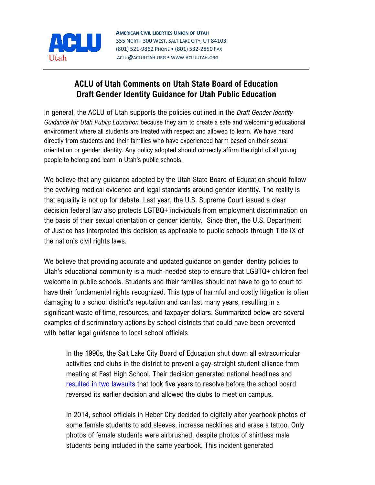

## **ACLU of Utah Comments on Utah State Board of Education Draft Gender Identity Guidance for Utah Public Education**

In general, the ACLU of Utah supports the policies outlined in the *Draft Gender Identity Guidance for Utah Public Education* because they aim to create a safe and welcoming educational environment where all students are treated with respect and allowed to learn. We have heard directly from students and their families who have experienced harm based on their sexual orientation or gender identity. Any policy adopted should correctly affirm the right of all young people to belong and learn in Utah's public schools.

We believe that any guidance adopted by the Utah State Board of Education should follow the evolving medical evidence and legal standards around gender identity. The reality is that equality is not up for debate. Last year, the U.S. Supreme Court issued a clear decision federal law also protects LGTBQ+ individuals from employment discrimination on the basis of their sexual orientation or gender identity. Since then, the U.S. Department of Justice has interpreted this decision as applicable to public schools through Title IX of the nation's civil rights laws.

We believe that providing accurate and updated guidance on gender identity policies to Utah's educational community is a much-needed step to ensure that LGBTQ+ children feel welcome in public schools. Students and their families should not have to go to court to have their fundamental rights recognized. This type of harmful and costly litigation is often damaging to a school district's reputation and can last many years, resulting in a significant waste of time, resources, and taxpayer dollars. Summarized below are several examples of discriminatory actions by school districts that could have been prevented with better legal guidance to local school officials

In the 1990s, the Salt Lake City Board of Education shut down all extracurricular activities and clubs in the district to prevent a gay-straight student alliance from meeting at East High School. Their decision generated national headlines and [resulted](https://www.acluutah.org/legal-work/resolved-cases/item/206-east-high-gay-straight-alliance-v-board-of-education-and-east-high-school-prism-club-v-cynthia-l-seidel) in two lawsuits that took five years to resolve before the school board reversed its earlier decision and allowed the clubs to meet on campus.

In 2014, school officials in Heber City decided to digitally alter yearbook photos of some female students to add sleeves, increase necklines and erase a tattoo. Only photos of female students were airbrushed, despite photos of shirtless male students being included in the same yearbook. This incident generated